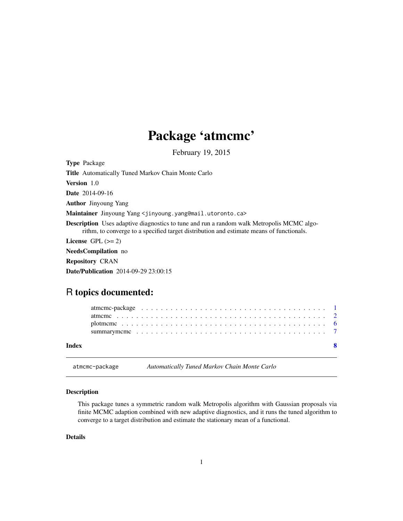## Package 'atmcmc'

February 19, 2015

<span id="page-0-0"></span>

| <b>Type Package</b>                                                                                                                                                                          |
|----------------------------------------------------------------------------------------------------------------------------------------------------------------------------------------------|
| <b>Title</b> Automatically Tuned Markov Chain Monte Carlo                                                                                                                                    |
| <b>Version</b> 1.0                                                                                                                                                                           |
| <b>Date</b> 2014-09-16                                                                                                                                                                       |
| <b>Author</b> Jinyoung Yang                                                                                                                                                                  |
| <b>Maintainer</b> Jinyoung Yang <jinyoung.yang@mail.utoronto.ca></jinyoung.yang@mail.utoronto.ca>                                                                                            |
| <b>Description</b> Uses adaptive diagnostics to tune and run a random walk Metropolis MCMC algo-<br>rithm, to converge to a specified target distribution and estimate means of functionals. |
| License $GPL \, (>= 2)$                                                                                                                                                                      |
| <b>NeedsCompilation</b> no                                                                                                                                                                   |
| <b>Repository CRAN</b>                                                                                                                                                                       |
| <b>Date/Publication</b> 2014-09-29 23:00:15                                                                                                                                                  |

## R topics documented:

| Index |  |  |  |  |  |  |  |  |  |  |  |  |  |  |  |  |  |  |
|-------|--|--|--|--|--|--|--|--|--|--|--|--|--|--|--|--|--|--|
|       |  |  |  |  |  |  |  |  |  |  |  |  |  |  |  |  |  |  |
|       |  |  |  |  |  |  |  |  |  |  |  |  |  |  |  |  |  |  |

atmcmc-package *Automatically Tuned Markov Chain Monte Carlo*

## Description

This package tunes a symmetric random walk Metropolis algorithm with Gaussian proposals via finite MCMC adaption combined with new adaptive diagnostics, and it runs the tuned algorithm to converge to a target distribution and estimate the stationary mean of a functional.

## Details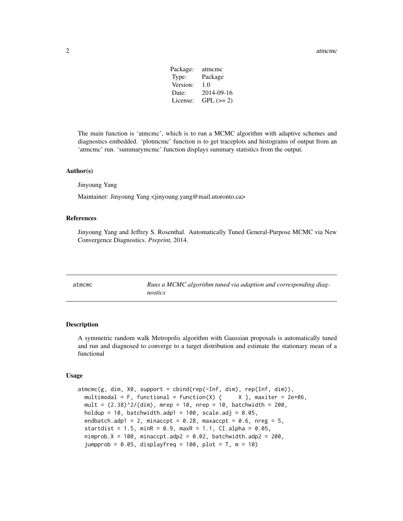| Package: | atmeme      |
|----------|-------------|
| Type:    | Package     |
| Version: | 1.0         |
| Date:    | 2014-09-16  |
| License: | $GPL (= 2)$ |
|          |             |

<span id="page-1-0"></span>The main function is 'atmcmc', which is to run a MCMC algorithm with adaptive schemes and diagnostics embedded. 'plotmcmc' function is to get traceplots and histograms of output from an 'atmcmc' run. 'summarymcmc' function displays summary statistics from the output.

#### Author(s)

Jinyoung Yang

Maintainer: Jinyoung Yang <jinyoung.yang@mail.utoronto.ca>

#### References

Jinyoung Yang and Jeffrey S. Rosenthal. Automatically Tuned General-Purpose MCMC via New Convergence Diagnostics. *Preprint,* 2014.

| atmcmc | Runs a MCMC algorithm tuned via adaption and corresponding diag- |
|--------|------------------------------------------------------------------|
|        | nostics                                                          |

#### Description

A symmetric random walk Metropolis algorithm with Gaussian proposals is automatically tuned and run and diagnosed to converge to a target distribution and estimate the stationary mean of a functional

#### Usage

```
atmcmc(g, dim, X0, support = cbind(rep(-Inf, dim), rep(Inf, dim)),
 multimodal = F, functional = function(X) { X }, maxiter = 2e+06,
 mult = (2.38)^2/(dim), mrep = 10, nrep = 10, batchwidth = 200,
 holdup = 10, batchwidth.adp1 = 100, scale.adj = 0.05,
  endbatch.adp1 = 2, minaccpt = 0.28, maxaccpt = 0.6, nreg = 5,
  startdist = 1.5, minR = 0.9, maxR = 1.1, CI.alpha = 0.05,
  nimprob.X = 100, minaccpt.addp2 = 0.02, batchwidth.addp2 = 200,
  jumpprob = 0.05, displayfreq = 100, plot = T, m = 10)
```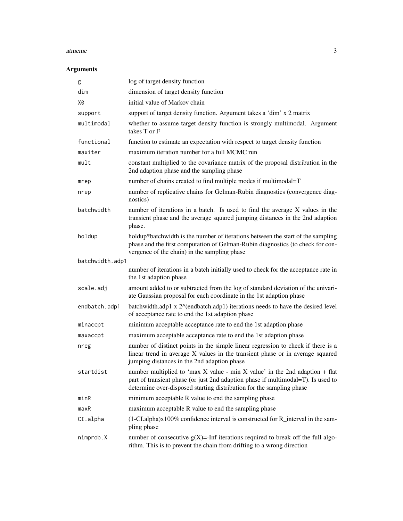#### atmcmc 3

## Arguments

| g               | log of target density function                                                                                                                                                                                                              |
|-----------------|---------------------------------------------------------------------------------------------------------------------------------------------------------------------------------------------------------------------------------------------|
| dim             | dimension of target density function                                                                                                                                                                                                        |
| X0              | initial value of Markov chain                                                                                                                                                                                                               |
| support         | support of target density function. Argument takes a 'dim' x 2 matrix                                                                                                                                                                       |
| multimodal      | whether to assume target density function is strongly multimodal. Argument<br>takes T or F                                                                                                                                                  |
| functional      | function to estimate an expectation with respect to target density function                                                                                                                                                                 |
| maxiter         | maximum iteration number for a full MCMC run                                                                                                                                                                                                |
| mult            | constant multiplied to the covariance matrix of the proposal distribution in the<br>2nd adaption phase and the sampling phase                                                                                                               |
| mrep            | number of chains created to find multiple modes if multimodal=T                                                                                                                                                                             |
| nrep            | number of replicative chains for Gelman-Rubin diagnostics (convergence diag-<br>nostics)                                                                                                                                                    |
| batchwidth      | number of iterations in a batch. Is used to find the average X values in the<br>transient phase and the average squared jumping distances in the 2nd adaption<br>phase.                                                                     |
| holdup          | holdup*batchwidth is the number of iterations between the start of the sampling<br>phase and the first computation of Gelman-Rubin diagnostics (to check for con-<br>vergence of the chain) in the sampling phase                           |
| batchwidth.adp1 |                                                                                                                                                                                                                                             |
|                 | number of iterations in a batch initially used to check for the acceptance rate in<br>the 1st adaption phase                                                                                                                                |
| scale.adj       | amount added to or subtracted from the log of standard deviation of the univari-<br>ate Gaussian proposal for each coordinate in the 1st adaption phase                                                                                     |
| endbatch.adp1   | batchwidth.adp1 x 2^(endbatch.adp1) iterations needs to have the desired level<br>of acceptance rate to end the 1st adaption phase                                                                                                          |
| minaccpt        | minimum acceptable acceptance rate to end the 1st adaption phase                                                                                                                                                                            |
| maxaccpt        | maximum acceptable acceptance rate to end the 1st adaption phase                                                                                                                                                                            |
| nreg            | number of distinct points in the simple linear regression to check if there is a<br>linear trend in average X values in the transient phase or in average squared<br>jumping distances in the 2nd adaption phase                            |
| startdist       | number multiplied to 'max $X$ value - min $X$ value' in the 2nd adaption + flat<br>part of transient phase (or just 2nd adaption phase if multimodal=T). Is used to<br>determine over-disposed starting distribution for the sampling phase |
| minR            | minimum acceptable R value to end the sampling phase                                                                                                                                                                                        |
| maxR            | maximum acceptable R value to end the sampling phase                                                                                                                                                                                        |
| CI.alpha        | (1-CI.alpha)x100% confidence interval is constructed for R_interval in the sam-<br>pling phase                                                                                                                                              |
| nimprob.X       | number of consecutive $g(X)$ =-Inf iterations required to break off the full algo-<br>rithm. This is to prevent the chain from drifting to a wrong direction                                                                                |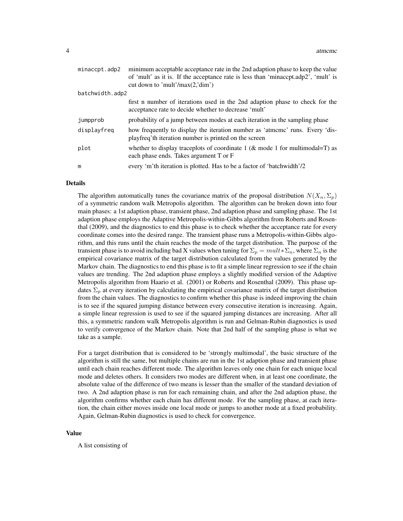| minaccpt.adp2   | minimum acceptable acceptance rate in the 2nd adaption phase to keep the value<br>of 'mult' as it is. If the acceptance rate is less than 'minaccpt.adp2', 'mult' is<br>cut down to 'mult'/max $(2, \text{dim'} )$ |
|-----------------|--------------------------------------------------------------------------------------------------------------------------------------------------------------------------------------------------------------------|
| batchwidth.adp2 |                                                                                                                                                                                                                    |
|                 | first n number of iterations used in the 2nd adaption phase to check for the<br>acceptance rate to decide whether to decrease 'mult'                                                                               |
| jumpprob        | probability of a jump between modes at each iteration in the sampling phase                                                                                                                                        |
| displayfreg     | how frequently to display the iteration number as 'atmome' runs. Every 'dis-<br>playfreq'th iteration number is printed on the screen                                                                              |
| plot            | whether to display traceplots of coordinate 1 ( $\&$ mode 1 for multimodal=T) as<br>each phase ends. Takes argument T or F                                                                                         |
| m               | every 'm'th iteration is plotted. Has to be a factor of 'batchwidth'/2                                                                                                                                             |

#### Details

The algorithm automatically tunes the covariance matrix of the proposal distribution  $N(X_n, \Sigma_p)$ of a symmetric random walk Metropolis algorithm. The algorithm can be broken down into four main phases: a 1st adaption phase, transient phase, 2nd adaption phase and sampling phase. The 1st adaption phase employs the Adaptive Metropolis-within-Gibbs algorithm from Roberts and Rosenthal (2009), and the diagnostics to end this phase is to check whether the acceptance rate for every coordinate comes into the desired range. The transient phase runs a Metropolis-within-Gibbs algorithm, and this runs until the chain reaches the mode of the target distribution. The purpose of the transient phase is to avoid including bad X values when tuning for  $\Sigma_p = mult * \Sigma_n$ , where  $\Sigma_n$  is the empirical covariance matrix of the target distribution calculated from the values generated by the Markov chain. The diagnostics to end this phase is to fit a simple linear regression to see if the chain values are trending. The 2nd adaption phase employs a slightly modified version of the Adaptive Metropolis algorithm from Haario et al. (2001) or Roberts and Rosenthal (2009). This phase updates  $\Sigma_p$  at every iteration by calculating the empirical covariance matrix of the target distribution from the chain values. The diagnostics to confirm whether this phase is indeed improving the chain is to see if the squared jumping distance between every consecutive iteration is increasing. Again, a simple linear regression is used to see if the squared jumping distances are increasing. After all this, a symmetric random walk Metropolis algorithm is run and Gelman-Rubin diagnostics is used to verify convergence of the Markov chain. Note that 2nd half of the sampling phase is what we take as a sample.

For a target distribution that is considered to be 'strongly multimodal', the basic structure of the algorithm is still the same, but multiple chains are run in the 1st adaption phase and transient phase until each chain reaches different mode. The algorithm leaves only one chain for each unique local mode and deletes others. It considers two modes are different when, in at least one coordinate, the absolute value of the difference of two means is lesser than the smaller of the standard deviation of two. A 2nd adaption phase is run for each remaining chain, and after the 2nd adaption phase, the algorithm confirms whether each chain has different mode. For the sampling phase, at each iteration, the chain either moves inside one local mode or jumps to another mode at a fixed probability. Again, Gelman-Rubin diagnostics is used to check for convergence.

#### Value

A list consisting of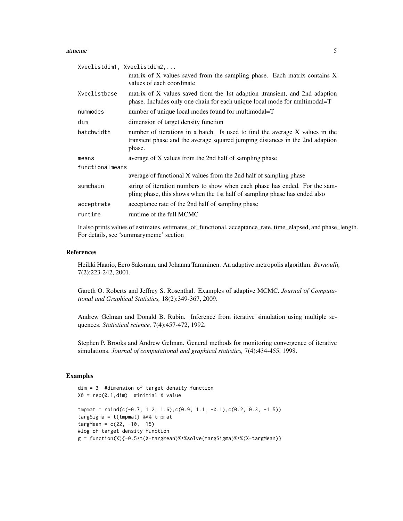#### atmcmc 5

| Xveclistdim1, Xveclistdim2, | matrix of X values saved from the sampling phase. Each matrix contains X<br>values of each coordinate                                                                   |
|-----------------------------|-------------------------------------------------------------------------------------------------------------------------------------------------------------------------|
| Xveclistbase                | matrix of X values saved from the 1st adaption transient, and 2nd adaption<br>phase. Includes only one chain for each unique local mode for multimodal=T                |
| nummodes                    | number of unique local modes found for multimodal=T                                                                                                                     |
| dim                         | dimension of target density function                                                                                                                                    |
| batchwidth                  | number of iterations in a batch. Is used to find the average X values in the<br>transient phase and the average squared jumping distances in the 2nd adaption<br>phase. |
| means                       | average of X values from the 2nd half of sampling phase                                                                                                                 |
| functionalmeans             |                                                                                                                                                                         |
|                             | average of functional X values from the 2nd half of sampling phase                                                                                                      |
| sumchain                    | string of iteration numbers to show when each phase has ended. For the sam-<br>pling phase, this shows when the 1st half of sampling phase has ended also               |
| acceptrate                  | acceptance rate of the 2nd half of sampling phase                                                                                                                       |
| runtime                     | runtime of the full MCMC                                                                                                                                                |
|                             |                                                                                                                                                                         |

It also prints values of estimates, estimates\_of\_functional, acceptance\_rate, time\_elapsed, and phase\_length. For details, see 'summarymcmc' section

#### References

Heikki Haario, Eero Saksman, and Johanna Tamminen. An adaptive metropolis algorithm. *Bernoulli,* 7(2):223-242, 2001.

Gareth O. Roberts and Jeffrey S. Rosenthal. Examples of adaptive MCMC. *Journal of Computational and Graphical Statistics,* 18(2):349-367, 2009.

Andrew Gelman and Donald B. Rubin. Inference from iterative simulation using multiple sequences. *Statistical science,* 7(4):457-472, 1992.

Stephen P. Brooks and Andrew Gelman. General methods for monitoring convergence of iterative simulations. *Journal of computational and graphical statistics,* 7(4):434-455, 1998.

#### Examples

```
dim = 3 #dimension of target density function
X0 = rep(0.1, dim) #initial X value
t_{\text{mpmat}} = \text{rbind}(c(-0.7, 1.2, 1.6), c(0.9, 1.1, -0.1), c(0.2, 0.3, -1.5))targSigma = t(tmpmat) %*% tmpmat
targMean = c(22, -10, 15)#log of target density function
g = function(X){-0.5*t(X-targMean)%*%solve(targSigma)%*%(X-targMean)}
```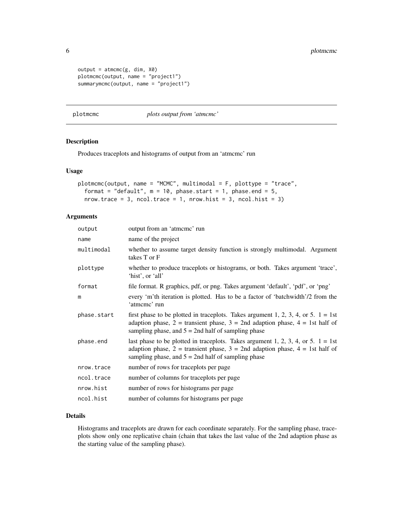```
output = \text{atmcmc}(g, \text{dim}, \text{X0})plotmcmc(output, name = "project1")
summarymcmc(output, name = "project1")
```
#### plotmcmc *plots output from 'atmcmc'*

## Description

Produces traceplots and histograms of output from an 'atmcmc' run

#### Usage

```
plotmcmc(output, name = "MCMC", multimodal = F, plottype = "trace",
  format = "default", m = 10, phase.start = 1, phase.end = 5,
 nrow.trace = 3, ncol.trace = 1, nrow.hist = 3, ncol.hist = 3)
```
## Arguments

| output      | output from an 'atmome' run                                                                                                                                                                                                           |
|-------------|---------------------------------------------------------------------------------------------------------------------------------------------------------------------------------------------------------------------------------------|
| name        | name of the project                                                                                                                                                                                                                   |
| multimodal  | whether to assume target density function is strongly multimodal. Argument<br>takes T or F                                                                                                                                            |
| plottype    | whether to produce traceplots or histograms, or both. Takes argument 'trace',<br>'hist', or 'all'                                                                                                                                     |
| format      | file format. R graphics, pdf, or png. Takes argument 'default', 'pdf', or 'png'                                                                                                                                                       |
| m           | every 'm'th iteration is plotted. Has to be a factor of 'batchwidth'/2 from the<br>'atmeme' run                                                                                                                                       |
| phase.start | first phase to be plotted in traceplots. Takes argument 1, 2, 3, 4, or 5. $1 = 1$ st<br>adaption phase, $2 =$ transient phase, $3 = 2$ nd adaption phase, $4 = 1$ st half of<br>sampling phase, and $5 = 2$ nd half of sampling phase |
| phase.end   | last phase to be plotted in traceplots. Takes argument 1, 2, 3, 4, or 5. $1 = 1$ st<br>adaption phase, $2 =$ transient phase, $3 = 2$ nd adaption phase, $4 = 1$ st half of<br>sampling phase, and $5 = 2$ nd half of sampling phase  |
| nrow.trace  | number of rows for traceplots per page                                                                                                                                                                                                |
| ncol.trace  | number of columns for traceplots per page                                                                                                                                                                                             |
| nrow.hist   | number of rows for histograms per page                                                                                                                                                                                                |
| ncol.hist   | number of columns for histograms per page                                                                                                                                                                                             |

#### Details

Histograms and traceplots are drawn for each coordinate separately. For the sampling phase, traceplots show only one replicative chain (chain that takes the last value of the 2nd adaption phase as the starting value of the sampling phase).

<span id="page-5-0"></span>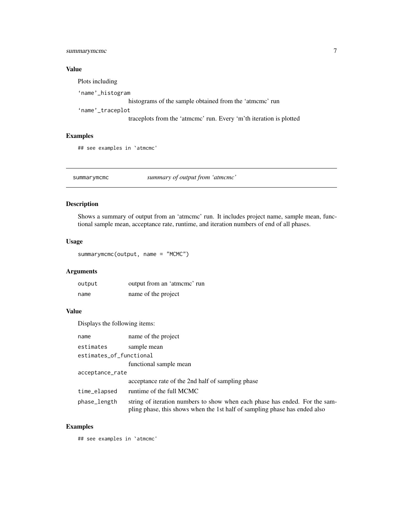## <span id="page-6-0"></span>summarymcmc 7

## Value

Plots including 'name'\_histogram histograms of the sample obtained from the 'atmcmc' run 'name'\_traceplot traceplots from the 'atmcmc' run. Every 'm'th iteration is plotted

## Examples

## see examples in `atmcmc'

summarymcmc *summary of output from 'atmcmc'*

#### Description

Shows a summary of output from an 'atmcmc' run. It includes project name, sample mean, functional sample mean, acceptance rate, runtime, and iteration numbers of end of all phases.

#### Usage

summarymcmc(output, name = "MCMC")

## Arguments

| output | output from an 'atmome' run |
|--------|-----------------------------|
| name   | name of the project         |

## Value

Displays the following items:

| name                    | name of the project                                                                                                                                       |  |  |  |  |  |
|-------------------------|-----------------------------------------------------------------------------------------------------------------------------------------------------------|--|--|--|--|--|
| estimates               | sample mean                                                                                                                                               |  |  |  |  |  |
| estimates_of_functional |                                                                                                                                                           |  |  |  |  |  |
|                         | functional sample mean                                                                                                                                    |  |  |  |  |  |
| acceptance_rate         |                                                                                                                                                           |  |  |  |  |  |
|                         | acceptance rate of the 2nd half of sampling phase                                                                                                         |  |  |  |  |  |
| time_elapsed            | runtime of the full MCMC                                                                                                                                  |  |  |  |  |  |
| phase_length            | string of iteration numbers to show when each phase has ended. For the sam-<br>pling phase, this shows when the 1st half of sampling phase has ended also |  |  |  |  |  |

## Examples

## see examples in `atmcmc'